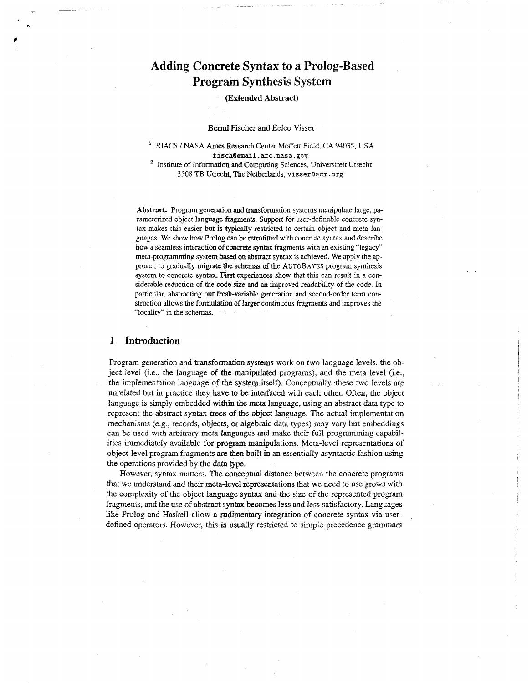# **Adding Concrete Syntax to a Prolog-Based Program Synthesis System**

## **(Extended Abstract)**

#### Bernd Fischer and Eelco Visser

RIACS **/NASA** Ames Research Center Moffett Field, **CA** 94035, **USA fischBemail.arc.nasa.gov** 

<sup>2</sup> Institute of Information and Computing Sciences, Universiteit Utrecht 3508 TB Utrecht, The Netherlands, *visser@acm.* org

Abstract. Program generation and transformation systems manipulate large, parameterized object language fragments. Support for user-definable concrete syntax makes this easier but **is** typicaUy restricted to certain object and meta languages. We show how Prolog can be retrofitted with concrete syntax and describe how **a** seamless interaction *of* concrete syntax fragments with an existing "legacy" meta-programming system based **on** abstract syntax is achieved. We apply the **ap**proach to gradually **migrate** 'the schemas of the **AUTOBAYES** program synthesis system to concrete syntax. First experiences show that this can result in a considerable reduction of the code size and *an* improved readability of the code. In particular, abstracting **out** fresh-variable generation and second-order term construction allows the formulation of larger continuous fragments and improves the "locality" in the schemas.

# **1 Introduction**

Program generation and transformation systems work on two language levels, the object level (i.e., the language of the manipulated programs), and the meta level (i.e., the implementation language of the system **itself).** Conceptually, these two levels are unrelated but in practice they have to be interfaced with each other. Often, the object language **is** simply embedded within the meta language, using an abstract data type to represent the abstract syntax trees **of** the object language. The actual implementation mechanisms (e.g.. records, objects, **or** algebraic data types) may vary but embeddings **can** be used **with** arbitrary meta **languages and** make their full programming capabilities immediately available for program manipulations. Meta-level representations of object-level program fragments are then built in an essentially asyntactic fashion using the operations provided by the data **type.** 

i.

However, syntax matters. The conceptual distance between the concrete programs that we understand and their meta-level representations that we need *to* use grows with the complexity of the object language syntax and the size of the represented program fragments, and the use of abstract **syntax** becomes less and less satisfactory. Languages like Prolog and Haskell allow a rudimentary integration of concrete syntax via userdefined operators. However, this is usually restricted to simple precedence grammars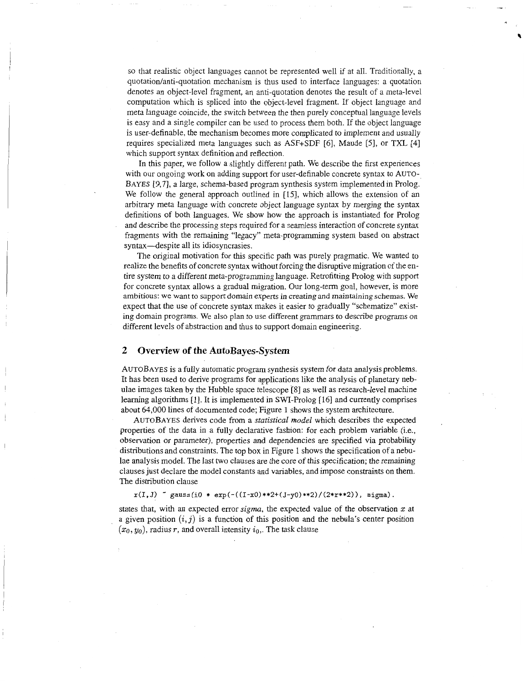so that realistic object languages cannot be represented well if at all. Traditionally, a quotation/anti-quotation mechanism is thus used to interface languages: a quotation denotes an object-level fragment, an anti-quotation denotes the result of a meta-level computation which is spliced into the object-level fragment. If object language and meta language coincide, the switch between the then purely conceptual language levels is easy and a single compiler can be used to process them both. If the object language is user-definable, the mechanism becomes more complicated to implement and usually requires specialized meta languages such as ASF+SDF **[6],** Maude **[5],** or TXL **[41**  which support syntax definition and reflection.

In this paper, we follow a slightly different path. We describe the first experiences with our ongoing work on adding support for user-definable concrete syntax to AUTO-**BAYES** [9,7], a large, schema-based program synthesis system implemented in Prolog. We follow the general approach outlined in **[l5].** which allows the extension of an arbitrary meta language with concrete object language syntax by merging the syntax definitions of both languages. We show how the approach is instantiated for Prolog and describe the processing steps required for a seamless interaction of concrete syntax fragments with the remaining "legacy" meta-programming system based on abstract syntax-despite all its idiosyncrasies.

The original motivation for this specific path was purely pragmatic. We wanted to realize the benefits of concrete syntax without forcing the disruptive migration of the entire system to a different meta-programming language. Retrofitting Prolog with support for concrete syntax allows a gradual migration. Our long-term goal, however, is more ambitious: we want to support **domain experts** in **creating and** maintaining **schemas. We**  expect that the use of concrete syntax makes it easier to gradually "schematize" existing domain programs. We also pIan to use different grammars to describe programs on different levels of abstraction and thus to support domain engineering.

## **2 Overview of the AutoBayes-System**

**AUTOBAYES** is a fully automatic program synthesis system for data analysis problems. It has been used to derive programs for applications like the analysis of planetary nebulae images taken by the Hubble space teIescope [SI 2s well as research-level machine learning algorithms [I]. It is implemented in SWI-Prolog **[16]** and currently comprises about **64,000** lines of documented code; Figure 1 shows the system architecture.

**AUTOBAYES** derives code from a *statistical model* which describes the expected properties of the data in a fully declarative fashion: for each problem variable (Le., observation or parameter), properties and dependencies are specified via probability distributions and constraints. The top box in Figure **1** shows the specification of a nebulae analysis model. The last two clauses are the core of this specification; the remaining clauses just declare the model constants and variables, and impose constraints on them. The distribution clause

**x(I,J)** *gauss(i0* \* **exp(-((I-x0)\*\*2+(J-y0)\*\*2)/(2\*r\*\*2)), sigma).** 

states that, with an expected error *sigma,* the expected value of the observation *2* at a given position  $(i, j)$  is a function of this position and the nebula's center position  $(x_0, y_0)$ , radius r, and overall intensity  $i_0$ . The task clause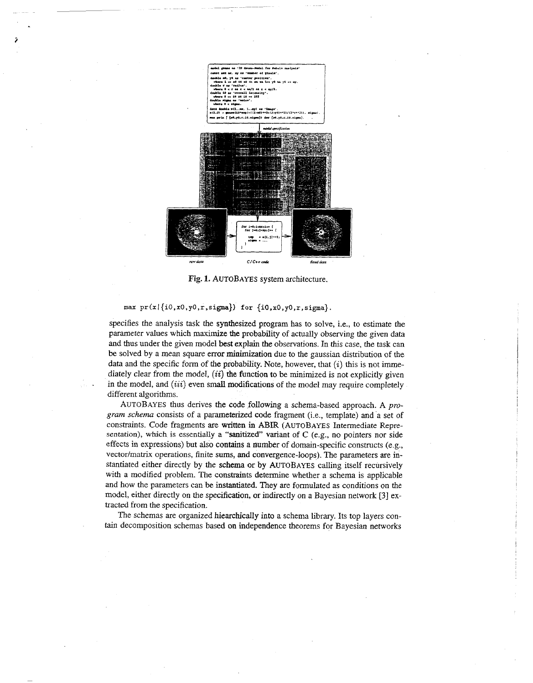

**Fig. 1. AUTOBAYES** system architecture.

## max pr **(x** I **{io ,xo.** yo **,r ,sigma}) for {io ,xO,yo** *,r,* **sigma}.**

.

*i* 

specifies the analysis task the synthesized program has to solve, i.e., to estimate the parameter values which maximize the probability of actually observing the given data and thus under the given model best explain the observations. In this case, the task can be solved by a mean square error minimization due to the gaussian distribution of the data and the specific form of the probability. Note, however, that *(i)* this is not immediately clear from the model,  $(ii)$  the function to be minimized is not explicitly given in the model, and *(iii)* even small modifications of the model may require completely different algorithms.

**AUTOBAYES** thus derives the code following a schema-based approach. **A** *program schema* consists of a parameterized code fragment (i.e., template) and a set of constraints. Code fragments are written in **ABIR (AUTOBAYES** Intermediate Representation), which is essentially **a "sanitized** variant of *C* (e.g., no pointers nor side effects in expressions) but also contains a number of domain-specific constructs (e.g., vector/matrix operations, finite sums, **and** convergence-loops). The parameters are instantiated either directly by the schema or by **AUTOBAYES** calling itself recursively with a modified problem. The constraints determine whether a schema is applicable and how the parameters can be instantiated. They are formulated as conditions on the model, either directly on the specification, **or** indirectly on a Bayesian network *[3]* extracted from the specification.

The schemas are organized hiearchically into a schema library. Its top layers contain decomposition schemas based on independence theorems for Bayesian networks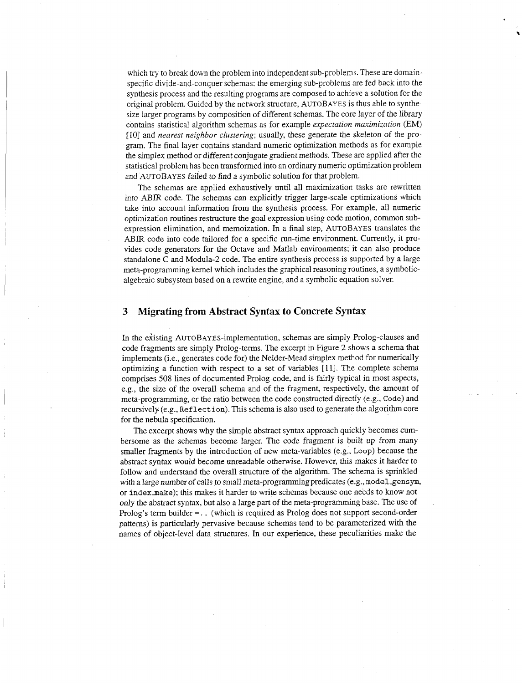which try to break down the problem into independent sub-problems. These are domainspecific divide-and-conquer schemas: the emerging sub-problems are fed back into the synthesis process and the resulting programs are composed to achieve a solution for the original problem. Guided by the network structure, AUTOBAYES is thus able to synthesize larger programs by composition of different schemas. The core layer of the library contains statistical algorithm schemas as for example *expectation maximization* (EM) [ 101 and *nearest neighbor clustering;* usually, these generate the skeleton of the program. The final layer contains standard numeric optimization methods as for example the simplex method or different conjugate gradient methods. These are applied after the statistical problem has been transformed into an ordinary numeric optimization problem and AUTOBAYES failed to find a symbolic solution for that problem.

The schemas are applied exhaustively until all maximization tasks are rewritten into **ABIR** code. The schemas can explicitly trigger large-scale optimizations which take into account information from the synthesis process. For example, all numeric optimization routines restructure the goal expression using code motion, common subexpression elimination, and memoization. In a final step, AUTOBAYES translates the ABIR code into code tailored for a specific run-time environment. Currently, it provides code generators for the Octave and Matlab environments; it can also produce standalone C and Modula-2 code. The entire synthesis process is supported by a large meta-programming kernel which includes the graphical reasoning routines, a symbolicalgebraic subsystem based on a rewrite engine. and a symbolic equation solver.

# **3 Migrating from Abstract Syntax to Concrete Syntax**

In the existing AUTOBAYES-implementation, schemas are simply Prolog-clauses and code fragments are simply Prolog-terms. The excerpt in Figure 2 shows a schema that implements (i.e,, generates code for) the Nelder-Mead simplex method for numerically optimizing a function with respect to a set of variables [ll]. The complete schema comprises 508 lines of documented Prolog-code, and is fairly typical in most aspects, e.g., the size of the overall schema and of the fragment, respectively, the amount of meta-programming, or the ratio between the code constructed directly (e.g., Code) and recursively (e.g., Reflect ion). This schema is also used to generate the algorithm core for the nebula specification.

The excerpt shows why the simple abstract syntax approach quickly becomes cumbersome as the schemas become larger. The code fragment is built up *from* many smaller fragments by the introduction of new meta-variables (e.g., Loop) because the abstract syntax would become unreadable otherwise. However, this makes it harder to follow and understand the overall structure of the algorithm. The schema is sprinkled with a large number of calls to small meta-programming predicates (e.g., model gensym, or index make); this makes it harder to write schemas because one needs to know not only the abstract syntax, but also a large part of the meta-programming base. The use of Prolog's term builder = . . (which is required as Prolog does not support second-order patterns) is particularly pervasive because schemas tend to be parameterized with the names of object-level data structures. In our experience, these peculiarities make the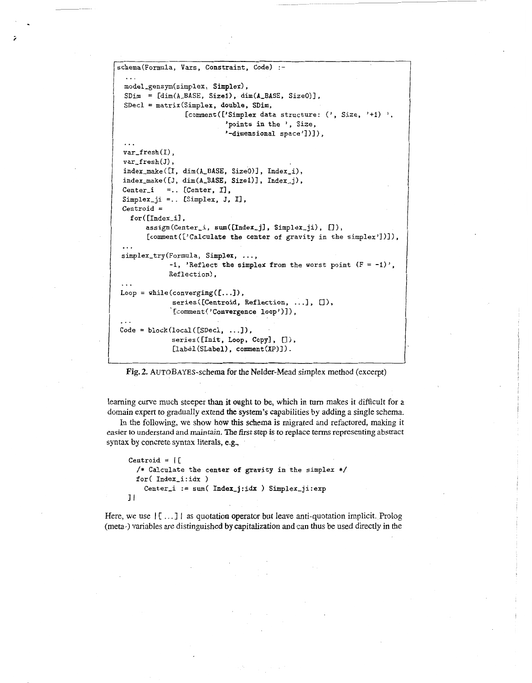```
schema(Formula, Vars, Constraint, Code) :- 
  ... 
 model-gensym(simplex, Simplex), 
  modei_gensym(simpiex, simpiex),<br>SDim = [dim(A_BASE, Size1), dim(A_BASE, Size0)],
 SDecl = matrix(Simplex, double, SDim,
                  [comment(['Simplex data structure: ('), Size, '+1) ',
                             'points in the ', Size, 
                             '-dimensional space'])]),
 var_fresh(I),
 var_fresh(J),
 index-make([I, dim(A-BASE, SizeO)], Index-i), 
 index\_make([J, dim(A\_BASE, Size1)], Index_i),Center_i =.. [Center, I],
 Simplex<sub>-</sub>ji =.. [Simplex, J, I],
 Centroid = 
   for ([Index_i],
       assign(Center_i, sum([Index_j], Simplex_ji), []),
       [comment(['Calculate the center of gravity in the simplex'])l), 
 ... 
 simplex_try(Formula, Simplex, ...,
              -1, 'Reflect the simplex from the worst point (F = -1)',
              Reflection).
 Loop = while(converging([...]),
              series ([Centroid, Reflection, ...], []),
              '[comment('Convergence loop')]),
 ... 
Code = block(loc1([SDec], ...]),series ([Init, Loop, Copy], []),
              [label(SLabel), comment(XP)]).
```
**Fig. 2.** AUTOBAYES-schema for the Nelder-Mead simplex method (excerpt)

!

learning curve much steeper **than it ought** to be, which in **turn** makes it difficult for a domain expert to gradually extend the system's capabilities by adding a single schema.

In the following, we show how this schema **is** migrated and refactored, making it easier to understand and maintain. **The** first step is to replace terms representing abstract syntax by concrete syntax literals, **e.g.,** 

```
Centroid = |[
  /* Calculate the center of gravity in the simplex */ 
  for( Index_i:idx )
    Center-i := sum( Index-j:idx ) Simplex-ji:exp 
I1
```
Here, we use  $\begin{bmatrix} \begin{bmatrix} \ldots \end{bmatrix} \end{bmatrix}$  as quotation operator but leave anti-quotation implicit. Prolog (meta-) variables are distinguished by capitalization and can thus be used directly in the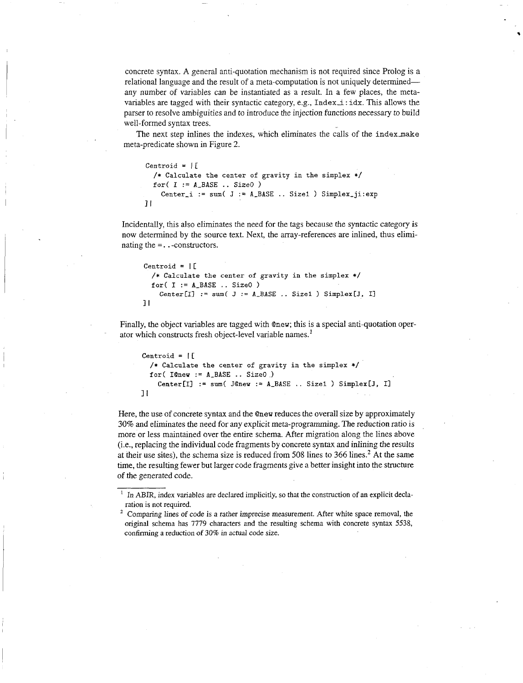concrete syntax. A general anti-quotation mechanism is not required since Prolog is a relational language and the result of a meta-computation is not uniquely determined any number of variables can be instantiated as a result. In a few places, the metavariables are tagged with their syntactic category, e.g., Index-i : idx. This allows the parser to resolve ambiguities and to introduce the injection functions necessary to build well-formed syntax trees.

The next step inlines the indexes, which eliminates the calls of the index make meta-predicate shown in Figure 2.

```
Centroid = IC 
  /* Calculate the center of gravity in the simplex */ 
  for( I := A-BASE .. SizeO ) 
    Center-i := sum( J := A-BASE .. Sizel ) Simplex-ji:exp 
31
```
Incidentally, this also eliminates the need for the tags because the syntactic category is now determined by the source text. Next, the array-references are inlined, thus eliminating the =. . -constructors.

```
Centroid = I [ 
  /* Calculate the center of gravity in the simplex */ 
  for( I := A-BASE .. SizeO ) 
    Center[I] := sum(J := A\_BASE.. Sizel ) Simplex[J, I]II
```
Finally, the object variables are tagged with @new; this is a special anti-quotation operator which constructs fresh object-level variable names.'

```
Centroid = I [ 
  /* Calculate the center of gravity in the simplex */ 
  for( IQneu := A-BASE . . SizeO ) 
    Center[I] := sum( J@new := A_BASE .. Size1 ) Simplex[J, I]
11
```
Here, the use of concrete syntax and the @new reduces the overall size by approximately *30%* and eliminates the need for any explicit meta-programming. The reduction ratio is more or less maintained over the entire schema. After migration along the lines above (Le., replacing the individual code fragments by concrete syntax and inlining the results at their use sites), the schema size is reduced from 508 lines to 366 lines.<sup>2</sup> At the same time, the resulting fewer but larger code fragments give a better insight into the structure of the generated code.

<sup>&</sup>lt;sup>1</sup> In ABIR, index variables are declared implicitly, so that the construction of an explicit declaration is not required.

<sup>&</sup>lt;sup>2</sup> Comparing lines of code is a rather imprecise measurement. After white space removal, the original schema has 7779 characters and the resulting schema with concrete syntax 5538, confirming a reduction **of** 30% in actual code size.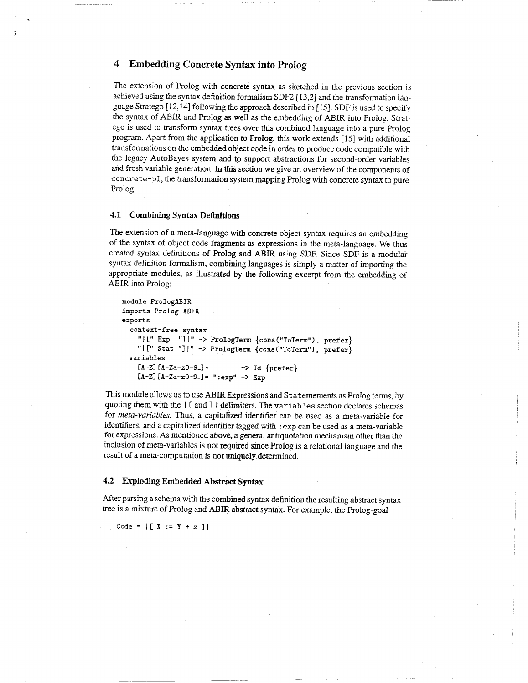# **4 Embedding Concrete Syntax into Prolog**

The extension of Prolog with concrete syntax as sketched in the previous section is achieved using the syntax definition formalism **SDF2** [13,2] and the transformation language Stratego [ 12,141 following the approach described in [ 151. **SDF** is used to specify the syntax of ABIR and Prolog **as** well as the ernbedding of ABIR into Prolog. Stratego is used to transform syntax trees over this combined language into a pure Prolog program. Apart from the application to Prolog, this work extends [ 151 with additional transformations on the embedded object code in order to produce code compatible with the legacy AutoBayes system and to support abstractions for second-order variables and fresh variable generation. In this section we give an overview of the components of concrete-pl, the transformation system mapping Prolog with concrete syntax to pure Prolog.

## **4.1 Combining Syntax Definitions**

The extension of a meta-language with concrete object syntax requires an embedding of the syntax of object code fragments as expressions in the meta-language. We thus created syntax definitions of Prolog and ABIR using **SDF.** Since **SDF** is a modular syntax definition formalism, combining languages is simply a matter of importing the appropriate modules, as illustrated by the following excerpt from the embedding of ABR into Prolog:

```
module PrologABIR 
imports Prolog ABIR 
exports 
  context-free syntax 
    "I[" Exp "]|" -> PrologTerm {cons("ToTerm"), prefer}
    "1 [I' Stat "1 I'I -> PrologTem {cons("ToTerm") , prefer} 
    [A-Zl [A-Za-zO-9-1* -> Id {prefer} 
    [A-Z] [A-Za-z0-9-] * " : exp" \rightarrow Expvariables
```
This module allows us to use ABIR Expressions and Statemements as Prolog terms, by quoting them with the I **C** and I I delimiters. The variables section declares schemas for *meta-variables.* Thus, a capitalized identifier can be used as a meta-variable for identifiers, and a capitalized identifier tagged with : **exp** can be used as a meta-variable for expressions. **As** mentioned above, a general antiquotation mechanism other than the inclusion of meta-variables is not required since Prolog is a relational language and the result of a meta-computation is not uniquely determined.

#### **4.2 Exploding Embedded Abstract Syntax**

After parsing a schema with *the* combined syntax definition the resulting abstract syntax tree is a mixture of Prolog and ABIR abstract syntax. For example, the Prolog-goal

 $Code = | [ X := Y + z ] |$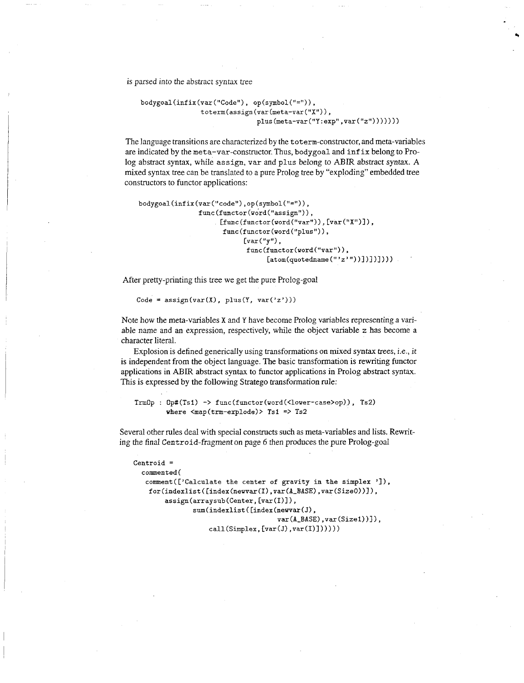is parsed into the abstract syntax tree

```
body goal(intix(var("Code"), op(symbol("=")),
               toterm(assign(var(meta-var("X"))),
                             plus(meta-var("Y:exp", var("z")))))
```
The language transitions are characterized by the toterm-constructor, and meta-variables are indicated by the meta-var-constructor. Thus, **bodygoal** and **infix** belong to Prolog abstract syntax, while **assign,** *var* and plus belong to ABIR abstract syntax. **A**  mixed syntax tree can be translated to a pure Prolog tree by "exploding" embedded tree constructors to functor applications:

```
bodygoal(infix(var("code"),op(symbol("=")),
                func (functor(word("assign")), 
                      [func(functor(word("var")), [var("X")]),
                      func (functor (word ("plus")),
                            [var("y"),
                             func (functor(word("var")), 
                                  [atom(quotedname(" 'z'"))]])])))))
```
After pretty-printing this tree we get the pure Prolog-goal

Code =  $\text{assign}(\text{var}(X), \text{ plus}(Y, \text{var('z'))})$ 

Note how the meta-variables **X** and Y have become Prolog variables representing a variable name and an expression, respectively, while the object variable *z* has become a character literal.

Explosion is defined generically using transformations on mixed syntax trees, i.e., it is independent from the object language. The basic transformation is rewriting functor applications in ABIR abstract syntax to functor applications in Prolog abstract syntax. This is expressed by the following Stratego transformation rule:

```
TrmOp : Op#(Ts1) -> func(functor(word(<lower-case>op)), Ts2)
       where <map(trm-explode)> Tsl => Ts2
```
Several other rules deal with special constructs such as meta-variables and lists. Rewriting the final Centroid-fragment on page 6 then produces the pure Prolog-goal

```
Centroid = 
  commented ( 
   comment([ 'Calculate the center of gravity in the simplex ']),for(index1ist (Eindex(newvar(1) ,var(A-BASE) ,var(SizeO>)]), 
        assign(arraysub(Center, [var(I)]), 
                sum(indexlist([index(newvar(J),
                                      var(A-BASE) ,var(Sizel))l), 
                    call (Simplex, [var(J) ,var (I) 1 1 1
```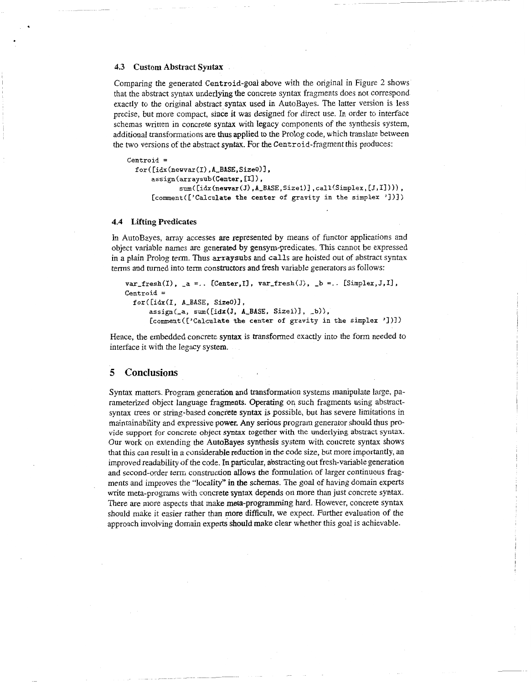#### **4.3 Custom Abstract Syntax**

Comparing the generated Centroid-goal above with the original in Figure 2 shows that the abstract syntax underlying the concrete syntax fragments does not correspond exactly to the original abstract syntax used in AutoBayes. The latter version is less precise, but more compact, since it was designed for direct use. In order to interface schemas written in concrete syntax with legacy components of the synthesis system, additional transformations are thus applied to the Prolog code, which translate between the two versions of the abstract syntax. For the Centroid-fragment this produces:

```
Centroid = 
 for( Cidx(newvar(1) ,A,BASE,SizeO)I, 
      assign(arraysub(Center, [I1 ) , 
              , 
sum( [idx(neuvar(J) ,A-BASE,Sizel)] , call(Simplex, [J, 11 1) 
      [comment(['Calculate the center of gravity in the simplex 'I)])
```
## **4.4 Lifting Predicates**

In AutoBayes, array accesses are represented by means of functor applications and object variable names are generated by gensym-predicates. This carnot be expressed in a plain Prolog term. Thus **arraysubs** and **calls** are hoisted out of abstract syntax terms and turned into term constructors and fresh variable generators as follows:

```
var-fresh(I), -a =. . CCenter,I] , var-fresh(J), -b =. . CSimplex,J,I] , 
Centroid = 
  for ( [idx (I, A-BASE, SizeO)] , assign(-a, sum([idx(J, A-BASE, Sizel)], -b)), 
      Ccomment(C'Calcu1ate the center of gravity in the simplex 'I)])
```
Hence, the embedded concrete syntax is transformed exactly into the form needed to interface it with the legacy system.

## **5 Conclusions**

Syntax matters. Program generation and transformation systems manipulate large, parameterized object language fragments. Operating on such fragments using abstractsyntax trees or string-based concrete syntax is possible, but has severe limitations in maintainability and expressive power. Any serious program generator should thus provide support for concrete object **syntax** together with **the** underlying abstract **syntax.**  Our work on extending the AutoBayes synthesis system with concrete syntax shows that this can result in a considerable reduction in the code size, but more importantly, an improved readability of the code. In particular, abstracting out fresh-variable generation and second-order term construction allows the formulation of larger continuous fragments and improves the "locality" in the schemas. The goal of having domain experts write meta-programs with concrete syntax depends on more than just concrete syntax. There are more aspects that make meta-programming hard. However, concrete syntax should make it easier rather than more difficult, we expect. Further evaluation of the approach involving domain experts should make clear whether this goal is achievable.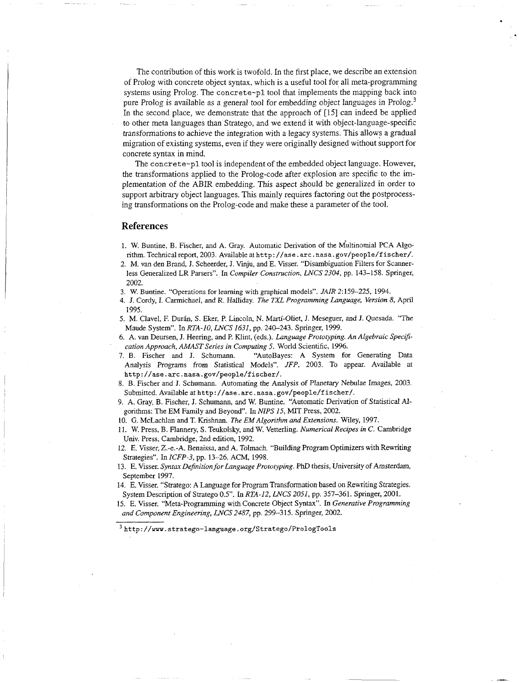The contribution of this work is twofold. In the first place, we describe an extension of Prolog with concrete object syntax, which is a useful tool for all meta-programming systems using Prolog. The concrete-pl tool that implements the mapping back into pure Prolog is available as a general tool for embedding object languages in Prolog.<sup>3</sup> In the second place, we demonstrate that the approach of [15] can indeed be applied to other meta languages than Stratego, and we extend it with object-language-specific transformations to achieve the integration with a legacy systems. This allows a gradual migration of existing systems, even if they were originally designed without support for concrete syntax in mind.

The concrete-pl tool is independent of the embedded object language. However, the transformations applied to the Prolog-code after explosion are specific to the implementation of the ABIR embedding. This aspect should be generalized in order to support arbitrary object languages. This mainly requires factoring out the postprocessing transformations on the Prolog-code and make these a parameter of the tool.

## **References**

- 1. W. Buntine, B. Fischer, and A. Gray. Automatic Derivation of the Multinomial PCA Algorithm. Technical report, 2003. Available at **http: //ase** . **arc. nasa. gov/people/f ischer/.**
- 2. **M.** van den Brand, J. Scheerder, J. **Viju,** and E. Visser. "Disambiguation Filters for Scannerless Generalized LR Parsers". In *Compiler Construction, LNCS 2304,* pp. 143-158. Springer, 2002.
- **3. W.** Buntine. "Operations for learning with graphical models". *JAIR* 2:159-225, 1994.
- 4. J. Cordy, I. Carmichael, and *R.* Halliday. *The 7XL Programming Language, Version 8,* **Apnl**  1995.
- 5. M. Clavel, F. Durán, S. Eker, P. Lincoln, N. Martí-Oliet, J. Meseguer, and J. Quesada. "The Maude System". In *RTA-IO, LNCS 1631,* pp. 240-243. Springer, 1999.
- 6. A. van Deursen, J. Heering, and P. Klint, (eds.). *Language Prototyping. An Algebraic Speci3 cafion Approach, AMAST Series in Computing 5.* World Scientific, 1996.
- 7. B. Fischer and J. Schumann. "AutoBayes: A System for Generating Data Analysis Programs from Statistical Models". *JFP,* 2003. To appear. Available at **http://ase.arc.nasa.gov/people/fischer/.**
- 8. B. Fischer and **I.** Schumann. Automating the Analysis of Pfanerary Nebulae Images, 2003. Submitted. Available at http://ase.arc.nasa.gov/people/fischer/.
- 9. A. Gray, B. Fischer, J. Schumann, and W. Buntine. "Automatic Derivation of Statistical Algorithms: The EM Family and Beyond". In *NIPS 15,* MIT Press, 2002.
- 10. G. McLachlan and T. Krishnan. *The EMAlgon'fhm and Extensions.* Wdey, 1997.
- 11. W. Press, B. Flannery, S. Teukolsky, and W. Vetterling. *Numerical Recipes in C.* Cambridge Univ. Press, Cambridge, 2nd edition, 1992.
- 12. E. Visser, Z.-e.-A. Benaissa, and **A.** Tolmach. "Building Program Optimizers with Rewriting Strategies". In *ICFP-3,* pp. 13-26. ACM, 1998.
- 13. E. Visser. *Syntax Definition for Language Prototyping.* PhD thesis, University of Amsterdam, September 1997.
- 14. E. Visser. "Stratego: **A** Language for Program Transformation based on Rewriting Strategies. System Description of Stratego 0.5". In *RTA-12, LNCS 2051,* pp. 357-361. Springer, 2001.
- 15. E. Visser. "Meta-Programming with Concrete Object Syntax". In *Generative Programming and Component Engineering, LNCS 2487,* pp. 299-315. Springer, 2002.

**http: //m. stratego-language** . **org/Stratego/PrologTools**